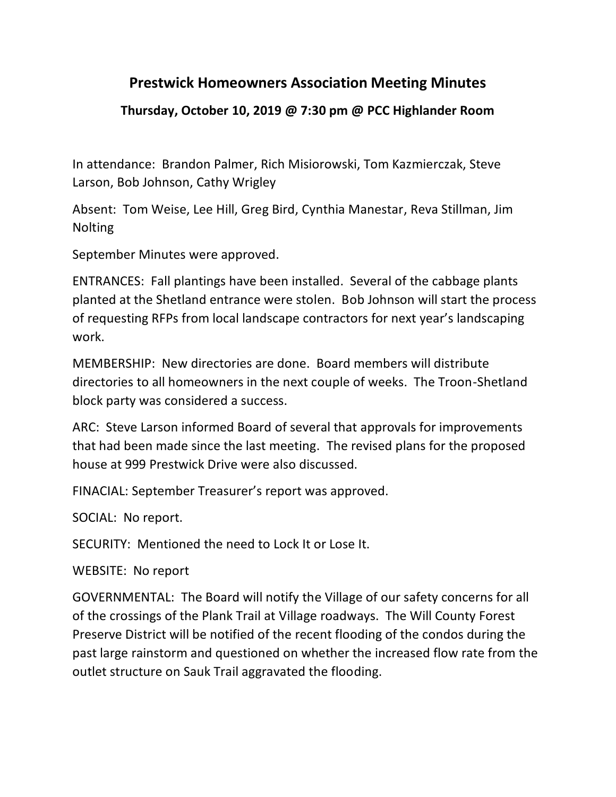## **Prestwick Homeowners Association Meeting Minutes**

## **Thursday, October 10, 2019 @ 7:30 pm @ PCC Highlander Room**

In attendance: Brandon Palmer, Rich Misiorowski, Tom Kazmierczak, Steve Larson, Bob Johnson, Cathy Wrigley

Absent: Tom Weise, Lee Hill, Greg Bird, Cynthia Manestar, Reva Stillman, Jim Nolting

September Minutes were approved.

ENTRANCES: Fall plantings have been installed. Several of the cabbage plants planted at the Shetland entrance were stolen. Bob Johnson will start the process of requesting RFPs from local landscape contractors for next year's landscaping work.

MEMBERSHIP: New directories are done. Board members will distribute directories to all homeowners in the next couple of weeks. The Troon-Shetland block party was considered a success.

ARC: Steve Larson informed Board of several that approvals for improvements that had been made since the last meeting. The revised plans for the proposed house at 999 Prestwick Drive were also discussed.

FINACIAL: September Treasurer's report was approved.

SOCIAL: No report.

SECURITY: Mentioned the need to Lock It or Lose It.

WEBSITE: No report

GOVERNMENTAL: The Board will notify the Village of our safety concerns for all of the crossings of the Plank Trail at Village roadways. The Will County Forest Preserve District will be notified of the recent flooding of the condos during the past large rainstorm and questioned on whether the increased flow rate from the outlet structure on Sauk Trail aggravated the flooding.